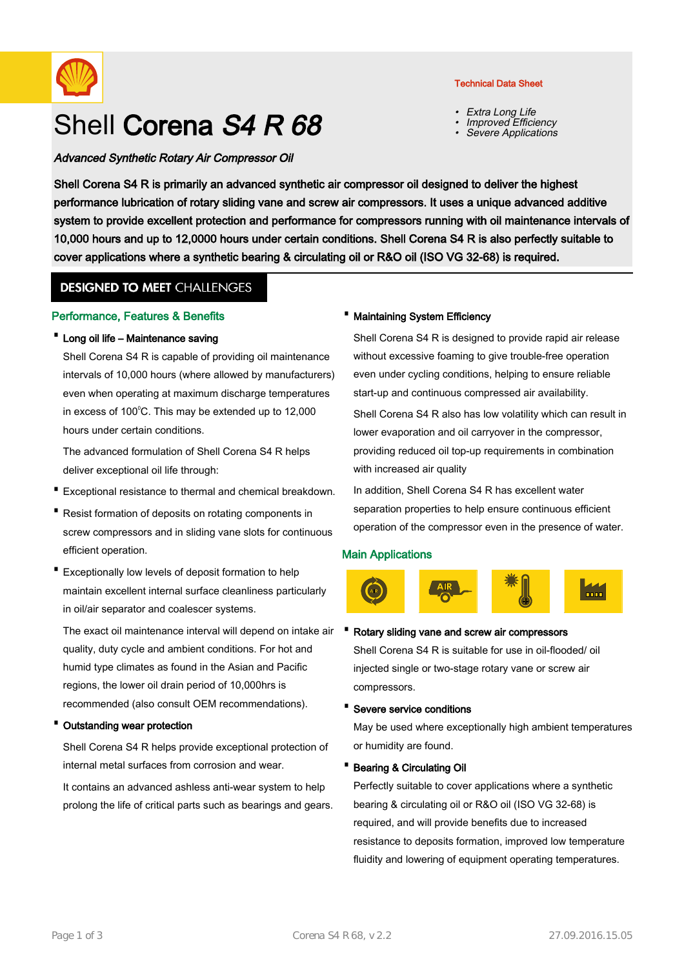

# Shell Corena S4 R 68

# Advanced Synthetic Rotary Air Compressor Oil

Technical Data Sheet

- Extra Long Life
- •Improved Efficiency
- •Severe Applications

Shell Corena S4 R is primarily an advanced synthetic air compressor oil designed to deliver the highest performance lubrication of rotary sliding vane and screw air compressors. It uses a unique advanced additive system to provide excellent protection and performance for compressors running with oil maintenance intervals of 10,000 hours and up to 12,0000 hours under certain conditions. Shell Corena S4 R is also perfectly suitable to cover applications where a synthetic bearing & circulating oil or R&O oil (ISO VG 32-68) is required.

# **DESIGNED TO MEET CHALLENGES**

# Performance, Features & Benefits

# · Long oil life – Maintenance saving

Shell Corena S4 R is capable of providing oil maintenance intervals of 10,000 hours (where allowed by manufacturers) even when operating at maximum discharge temperatures in excess of  $100^{\circ}$ C. This may be extended up to 12,000 hours under certain conditions.

The advanced formulation of Shell Corena S4 R helps deliver exceptional oil life through:

- · Exceptional resistance to thermal and chemical breakdown.
- Resist formation of deposits on rotating components in screw compressors and in sliding vane slots for continuous efficient operation.
- Exceptionally low levels of deposit formation to help maintain excellent internal surface cleanliness particularly in oil/air separator and coalescer systems.

The exact oil maintenance interval will depend on intake air • quality, duty cycle and ambient conditions. For hot and humid type climates as found in the Asian and Pacific regions, the lower oil drain period of 10,000hrs is recommended (also consult OEM recommendations).

# Outstanding wear protection

Shell Corena S4 R helps provide exceptional protection of internal metal surfaces from corrosion and wear.

It contains an advanced ashless anti-wear system to help prolong the life of critical parts such as bearings and gears.

#### · Maintaining System Efficiency

Shell Corena S4 R is designed to provide rapid air release without excessive foaming to give trouble-free operation even under cycling conditions, helping to ensure reliable start-up and continuous compressed air availability.

Shell Corena S4 R also has low volatility which can result in lower evaporation and oil carryover in the compressor, providing reduced oil top-up requirements in combination with increased air quality

In addition, Shell Corena S4 R has excellent water separation properties to help ensure continuous efficient operation of the compressor even in the presence of water.

# Main Applications



#### Rotary sliding vane and screw air compressors

Shell Corena S4 R is suitable for use in oil-flooded/ oil injected single or two-stage rotary vane or screw air compressors.

· Severe service conditions

May be used where exceptionally high ambient temperatures or humidity are found.

#### · Bearing & Circulating Oil

Perfectly suitable to cover applications where a synthetic bearing & circulating oil or R&O oil (ISO VG 32-68) is required, and will provide benefits due to increased resistance to deposits formation, improved low temperature fluidity and lowering of equipment operating temperatures.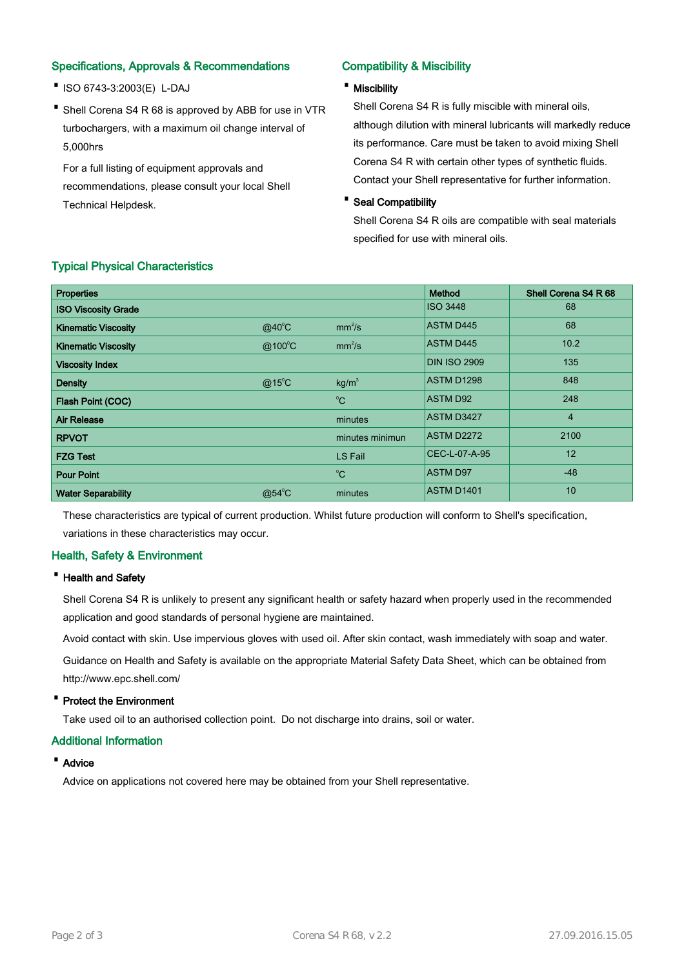# Specifications, Approvals & Recommendations

- ·ISO 6743-3:2003(E) L-DAJ
- Shell Corena S4 R 68 is approved by ABB for use in VTR turbochargers, with a maximum oil change interval of 5,000hrs

For a full listing of equipment approvals and recommendations, please consult your local Shell Technical Helpdesk.

# Compatibility & Miscibility

# · Miscibility

Shell Corena S4 R is fully miscible with mineral oils, although dilution with mineral lubricants will markedly reduce its performance. Care must be taken to avoid mixing Shell Corena S4 R with certain other types of synthetic fluids. Contact your Shell representative for further information.

# · Seal Compatibility

Shell Corena S4 R oils are compatible with seal materials specified for use with mineral oils.

| <b>Properties</b>          |                  |                    | Method              | Shell Corena S4 R 68 |
|----------------------------|------------------|--------------------|---------------------|----------------------|
| <b>ISO Viscosity Grade</b> |                  |                    | <b>ISO 3448</b>     | 68                   |
| <b>Kinematic Viscosity</b> | $@40^{\circ}$ C  | mm <sup>2</sup> /s | <b>ASTM D445</b>    | 68                   |
| <b>Kinematic Viscosity</b> | $@100^{\circ}$ C | mm <sup>2</sup> /s | <b>ASTM D445</b>    | 10.2                 |
| <b>Viscosity Index</b>     |                  |                    | <b>DIN ISO 2909</b> | 135                  |
| <b>Density</b>             | $@15^{\circ}$ C  | kg/m <sup>3</sup>  | ASTM D1298          | 848                  |
| Flash Point (COC)          |                  | $^{\circ}$ C       | <b>ASTM D92</b>     | 248                  |
| <b>Air Release</b>         |                  | minutes            | <b>ASTM D3427</b>   | $\overline{4}$       |
| <b>RPVOT</b>               |                  | minutes minimun    | ASTM D2272          | 2100                 |
| <b>FZG Test</b>            |                  | LS Fail            | CEC-L-07-A-95       | 12                   |
| <b>Pour Point</b>          |                  | $^{\circ}C$        | <b>ASTM D97</b>     | $-48$                |
| <b>Water Separability</b>  | $@54^{\circ}$ C  | minutes            | <b>ASTM D1401</b>   | 10                   |

# Typical Physical Characteristics

These characteristics are typical of current production. Whilst future production will conform to Shell's specification, variations in these characteristics may occur.

# Health, Safety & Environment

# · Health and Safety

Shell Corena S4 R is unlikely to present any significant health or safety hazard when properly used in the recommended application and good standards of personal hygiene are maintained.

Avoid contact with skin. Use impervious gloves with used oil. After skin contact, wash immediately with soap and water.

Guidance on Health and Safety is available on the appropriate Material Safety Data Sheet, which can be obtained from http://www.epc.shell.com/

# · Protect the Environment

Take used oil to an authorised collection point. Do not discharge into drains, soil or water.

# Additional Information

# · Advice

Advice on applications not covered here may be obtained from your Shell representative.